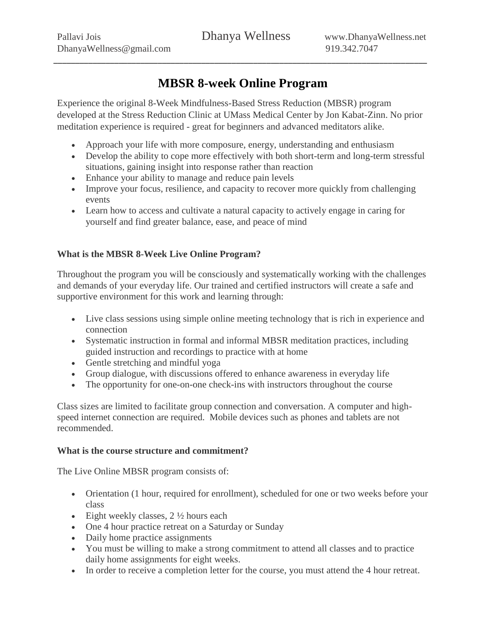# **MBSR 8-week Online Program**

\_\_\_\_\_\_\_\_\_\_\_\_\_\_\_\_\_\_\_\_\_\_\_\_\_\_\_\_\_\_\_\_\_\_\_\_\_\_\_\_\_\_\_\_\_\_\_\_\_\_\_\_\_\_\_\_\_\_\_\_\_\_\_\_\_\_\_\_\_\_\_\_\_\_\_\_\_\_\_\_\_\_\_\_\_\_

Experience the original 8-Week Mindfulness-Based Stress Reduction (MBSR) program developed at the Stress Reduction Clinic at UMass Medical Center by Jon Kabat-Zinn. No prior meditation experience is required - great for beginners and advanced meditators alike.

- Approach your life with more composure, energy, understanding and enthusiasm
- Develop the ability to cope more effectively with both short-term and long-term stressful situations, gaining insight into response rather than reaction
- Enhance your ability to manage and reduce pain levels
- Improve your focus, resilience, and capacity to recover more quickly from challenging events
- Learn how to access and cultivate a natural capacity to actively engage in caring for yourself and find greater balance, ease, and peace of mind

# **What is the MBSR 8-Week Live Online Program?**

Throughout the program you will be consciously and systematically working with the challenges and demands of your everyday life. Our trained and certified instructors will create a safe and supportive environment for this work and learning through:

- Live class sessions using simple online meeting technology that is rich in experience and connection
- Systematic instruction in formal and informal MBSR meditation practices, including guided instruction and recordings to practice with at home
- Gentle stretching and mindful yoga
- Group dialogue, with discussions offered to enhance awareness in everyday life
- The opportunity for one-on-one check-ins with instructors throughout the course

Class sizes are limited to facilitate group connection and conversation. A computer and highspeed internet connection are required. Mobile devices such as phones and tablets are not recommended.

#### **What is the course structure and commitment?**

The Live Online MBSR program consists of:

- Orientation (1 hour, required for enrollment), scheduled for one or two weeks before your class
- Eight weekly classes,  $2 \frac{1}{2}$  hours each
- One 4 hour practice retreat on a Saturday or Sunday
- Daily home practice assignments
- You must be willing to make a strong commitment to attend all classes and to practice daily home assignments for eight weeks.
- In order to receive a completion letter for the course, you must attend the 4 hour retreat.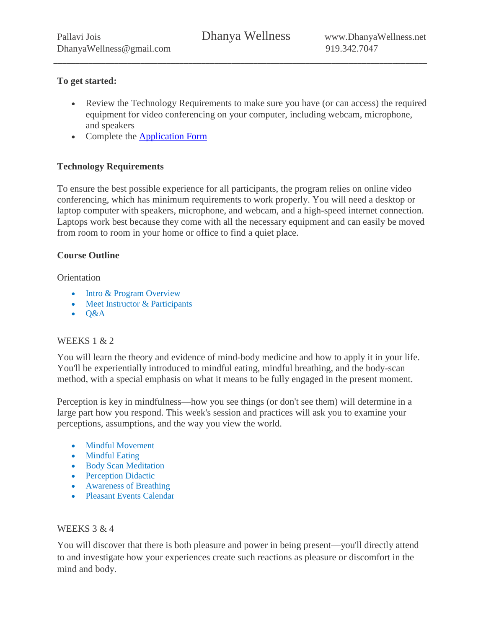\_\_\_\_\_\_\_\_\_\_\_\_\_\_\_\_\_\_\_\_\_\_\_\_\_\_\_\_\_\_\_\_\_\_\_\_\_\_\_\_\_\_\_\_\_\_\_\_\_\_\_\_\_\_\_\_\_\_\_\_\_\_\_\_\_\_\_\_\_\_\_\_\_\_\_\_\_\_\_\_\_\_\_\_\_\_

## **To get started:**

- Review the Technology Requirements to make sure you have (or can access) the required equipment for video conferencing on your computer, including webcam, microphone, and speakers
- Complete the [Application](https://forms.gle/Nko4JadGYnmyuBRV7) Form

# **Technology Requirements**

To ensure the best possible experience for all participants, the program relies on online video conferencing, which has minimum requirements to work properly. You will need a desktop or laptop computer with speakers, microphone, and webcam, and a high-speed internet connection. Laptops work best because they come with all the necessary equipment and can easily be moved from room to room in your home or office to find a quiet place.

## **Course Outline**

**Orientation** 

- Intro & Program Overview
- Meet Instructor & Participants
- $-$  Q&A

#### WEEKS 1 & 2

You will learn the theory and evidence of mind-body medicine and how to apply it in your life. You'll be experientially introduced to mindful eating, mindful breathing, and the body-scan method, with a special emphasis on what it means to be fully engaged in the present moment.

Perception is key in mindfulness—how you see things (or don't see them) will determine in a large part how you respond. This week's session and practices will ask you to examine your perceptions, assumptions, and the way you view the world.

- Mindful Movement
- Mindful Eating
- Body Scan Meditation
- Perception Didactic
- Awareness of Breathing
- Pleasant Events Calendar

#### WEEKS 3 & 4

You will discover that there is both pleasure and power in being present—you'll directly attend to and investigate how your experiences create such reactions as pleasure or discomfort in the mind and body.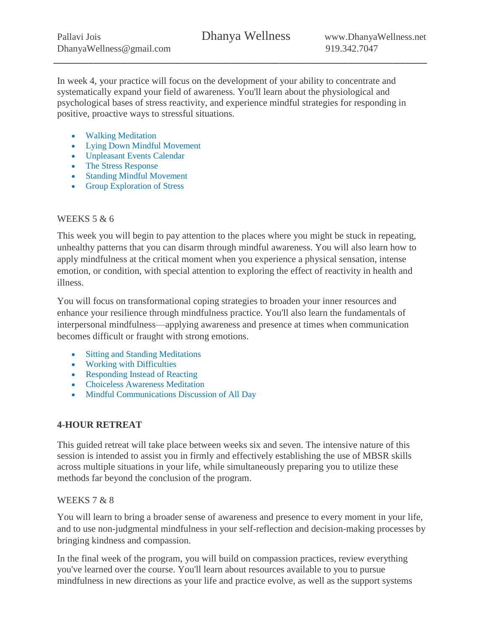\_\_\_\_\_\_\_\_\_\_\_\_\_\_\_\_\_\_\_\_\_\_\_\_\_\_\_\_\_\_\_\_\_\_\_\_\_\_\_\_\_\_\_\_\_\_\_\_\_\_\_\_\_\_\_\_\_\_\_\_\_\_\_\_\_\_\_\_\_\_\_\_\_\_\_\_\_\_\_\_\_\_\_\_\_\_

In week 4, your practice will focus on the development of your ability to concentrate and systematically expand your field of awareness. You'll learn about the physiological and psychological bases of stress reactivity, and experience mindful strategies for responding in positive, proactive ways to stressful situations.

- Walking Meditation
- Lying Down Mindful Movement
- Unpleasant Events Calendar
- The Stress Response
- Standing Mindful Movement
- Group Exploration of Stress

## WEEKS 5 & 6

This week you will begin to pay attention to the places where you might be stuck in repeating, unhealthy patterns that you can disarm through mindful awareness. You will also learn how to apply mindfulness at the critical moment when you experience a physical sensation, intense emotion, or condition, with special attention to exploring the effect of reactivity in health and illness.

You will focus on transformational coping strategies to broaden your inner resources and enhance your resilience through mindfulness practice. You'll also learn the fundamentals of interpersonal mindfulness—applying awareness and presence at times when communication becomes difficult or fraught with strong emotions.

- Sitting and Standing Meditations
- Working with Difficulties
- Responding Instead of Reacting
- Choiceless Awareness Meditation
- Mindful Communications Discussion of All Day

# **4-HOUR RETREAT**

This guided retreat will take place between weeks six and seven. The intensive nature of this session is intended to assist you in firmly and effectively establishing the use of MBSR skills across multiple situations in your life, while simultaneously preparing you to utilize these methods far beyond the conclusion of the program.

#### WEEKS 7 & 8

You will learn to bring a broader sense of awareness and presence to every moment in your life, and to use non-judgmental mindfulness in your self-reflection and decision-making processes by bringing kindness and compassion.

In the final week of the program, you will build on compassion practices, review everything you've learned over the course. You'll learn about resources available to you to pursue mindfulness in new directions as your life and practice evolve, as well as the support systems